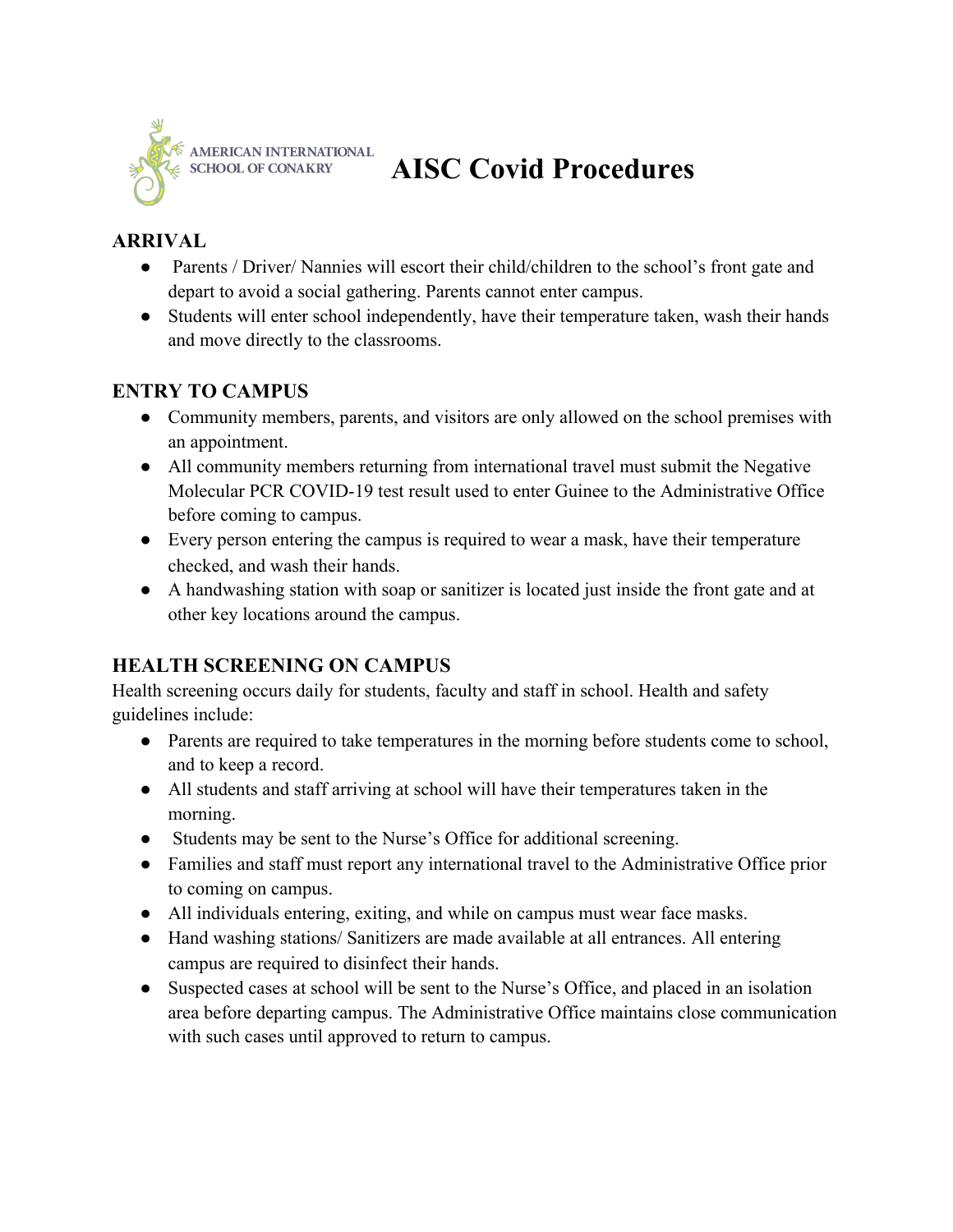

# **AISC Covid Procedures**

#### **ARRIVAL**

- Parents / Driver/ Nannies will escort their child/children to the school's front gate and depart to avoid a social gathering. Parents cannot enter campus.
- Students will enter school independently, have their temperature taken, wash their hands and move directly to the classrooms.

#### **ENTRY TO CAMPUS**

- Community members, parents, and visitors are only allowed on the school premises with an appointment.
- All community members returning from international travel must submit the Negative Molecular PCR COVID-19 test result used to enter Guinee to the Administrative Office before coming to campus.
- Every person entering the campus is required to wear a mask, have their temperature checked, and wash their hands.
- A handwashing station with soap or sanitizer is located just inside the front gate and at other key locations around the campus.

#### **HEALTH SCREENING ON CAMPUS**

Health screening occurs daily for students, faculty and staff in school. Health and safety guidelines include:

- Parents are required to take temperatures in the morning before students come to school, and to keep a record.
- All students and staff arriving at school will have their temperatures taken in the morning.
- Students may be sent to the Nurse's Office for additional screening.
- Families and staff must report any international travel to the Administrative Office prior to coming on campus.
- All individuals entering, exiting, and while on campus must wear face masks.
- Hand washing stations/ Sanitizers are made available at all entrances. All entering campus are required to disinfect their hands.
- Suspected cases at school will be sent to the Nurse's Office, and placed in an isolation area before departing campus. The Administrative Office maintains close communication with such cases until approved to return to campus.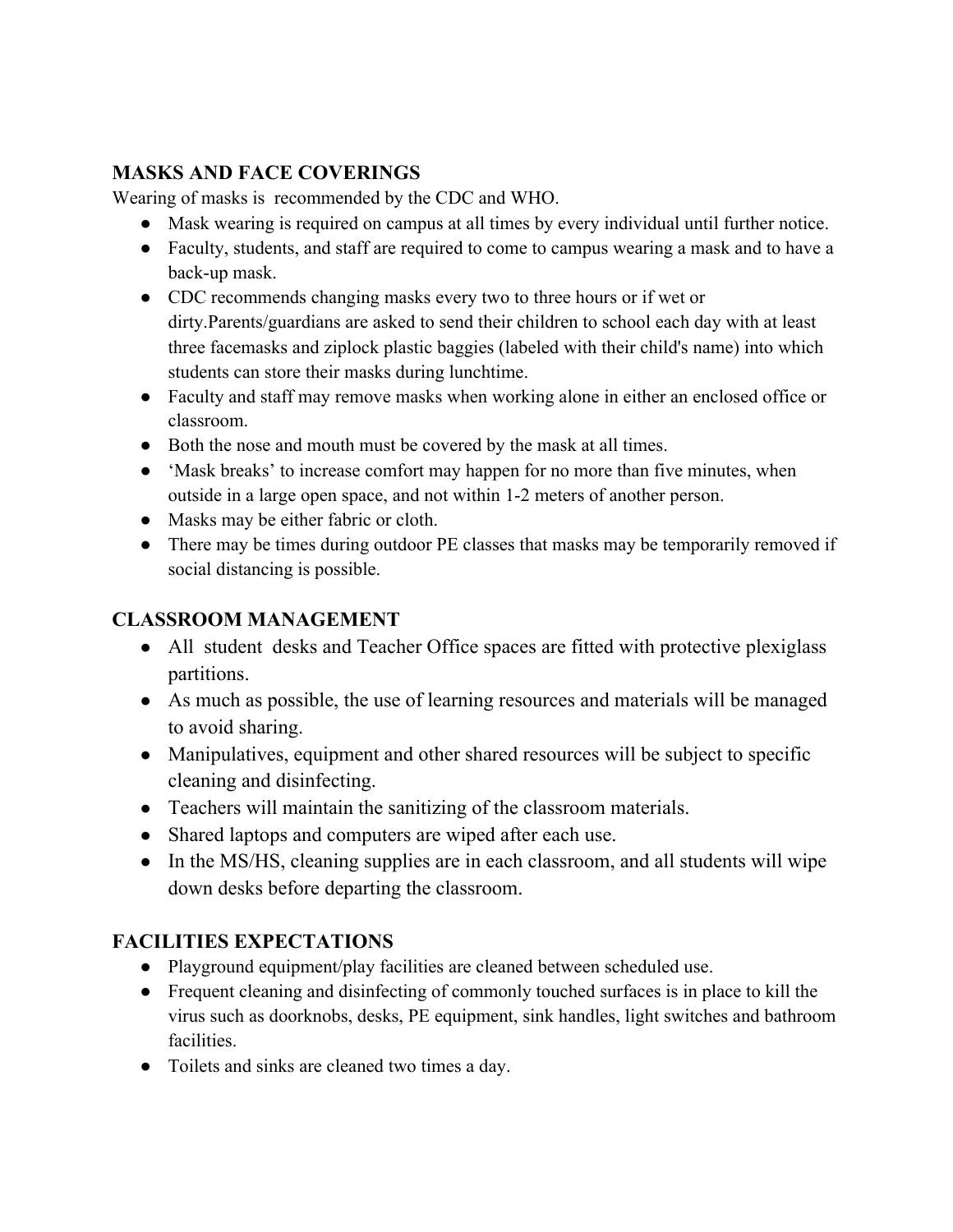# **MASKS AND FACE COVERINGS**

Wearing of masks is recommended by the CDC and WHO.

- Mask wearing is required on campus at all times by every individual until further notice.
- Faculty, students, and staff are required to come to campus wearing a mask and to have a back-up mask.
- CDC recommends changing masks every two to three hours or if wet or dirty.Parents/guardians are asked to send their children to school each day with at least three facemasks and ziplock plastic baggies (labeled with their child's name) into which students can store their masks during lunchtime.
- Faculty and staff may remove masks when working alone in either an enclosed office or classroom.
- Both the nose and mouth must be covered by the mask at all times.
- 'Mask breaks' to increase comfort may happen for no more than five minutes, when outside in a large open space, and not within 1-2 meters of another person.
- Masks may be either fabric or cloth.
- There may be times during outdoor PE classes that masks may be temporarily removed if social distancing is possible.

#### **CLASSROOM MANAGEMENT**

- All student desks and Teacher Office spaces are fitted with protective plexiglass partitions.
- As much as possible, the use of learning resources and materials will be managed to avoid sharing.
- Manipulatives, equipment and other shared resources will be subject to specific cleaning and disinfecting.
- Teachers will maintain the sanitizing of the classroom materials.
- Shared laptops and computers are wiped after each use.
- In the MS/HS, cleaning supplies are in each classroom, and all students will wipe down desks before departing the classroom.

# **FACILITIES EXPECTATIONS**

- Playground equipment/play facilities are cleaned between scheduled use.
- Frequent cleaning and disinfecting of commonly touched surfaces is in place to kill the virus such as doorknobs, desks, PE equipment, sink handles, light switches and bathroom facilities.
- Toilets and sinks are cleaned two times a day.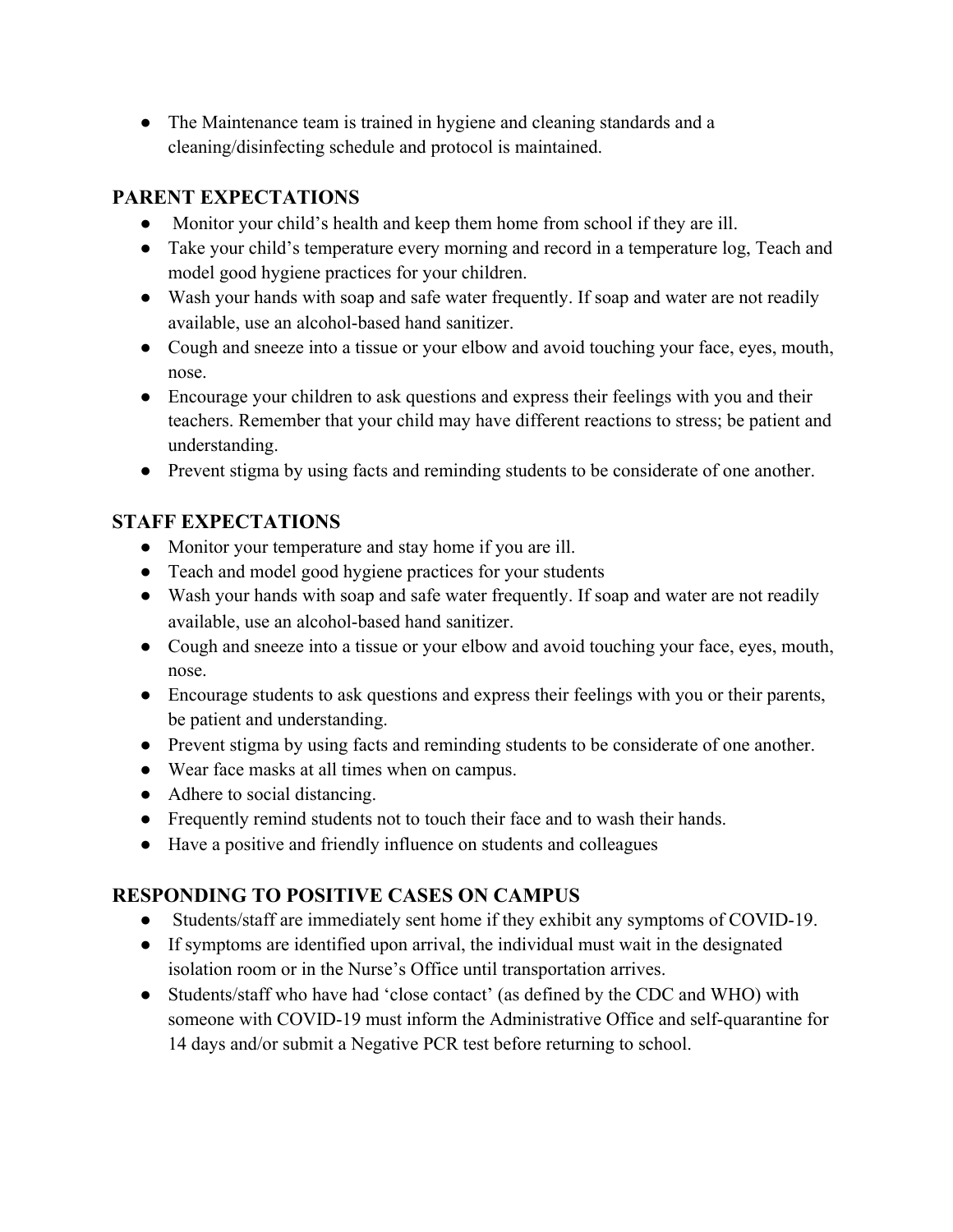• The Maintenance team is trained in hygiene and cleaning standards and a cleaning/disinfecting schedule and protocol is maintained.

# **PARENT EXPECTATIONS**

- Monitor your child's health and keep them home from school if they are ill.
- Take your child's temperature every morning and record in a temperature log, Teach and model good hygiene practices for your children.
- Wash your hands with soap and safe water frequently. If soap and water are not readily available, use an alcohol-based hand sanitizer.
- Cough and sneeze into a tissue or your elbow and avoid touching your face, eyes, mouth, nose.
- Encourage your children to ask questions and express their feelings with you and their teachers. Remember that your child may have different reactions to stress; be patient and understanding.
- Prevent stigma by using facts and reminding students to be considerate of one another.

# **STAFF EXPECTATIONS**

- Monitor your temperature and stay home if you are ill.
- Teach and model good hygiene practices for your students
- Wash your hands with soap and safe water frequently. If soap and water are not readily available, use an alcohol-based hand sanitizer.
- Cough and sneeze into a tissue or your elbow and avoid touching your face, eyes, mouth, nose.
- Encourage students to ask questions and express their feelings with you or their parents, be patient and understanding.
- Prevent stigma by using facts and reminding students to be considerate of one another.
- Wear face masks at all times when on campus.
- Adhere to social distancing.
- Frequently remind students not to touch their face and to wash their hands.
- Have a positive and friendly influence on students and colleagues

# **RESPONDING TO POSITIVE CASES ON CAMPUS**

- Students/staff are immediately sent home if they exhibit any symptoms of COVID-19.
- If symptoms are identified upon arrival, the individual must wait in the designated isolation room or in the Nurse's Office until transportation arrives.
- Students/staff who have had 'close contact' (as defined by the CDC and WHO) with someone with COVID-19 must inform the Administrative Office and self-quarantine for 14 days and/or submit a Negative PCR test before returning to school.